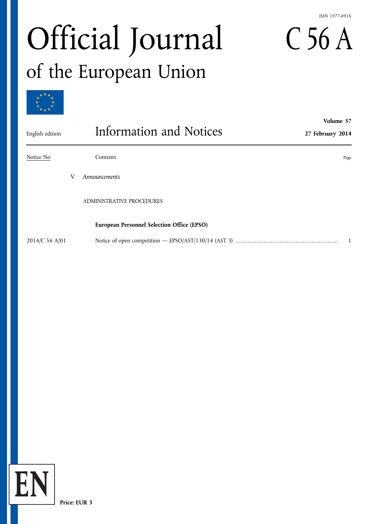#### ISSN 1977-091X

**Volume 57**

# Official Journal C 56 A of the European Union



| English edition |   | Information and Notices                    | 27 February 2014 |
|-----------------|---|--------------------------------------------|------------------|
| Notice No       |   | Contents                                   | Page             |
|                 | V | Announcements                              |                  |
|                 |   | <b>ADMINISTRATIVE PROCEDURES</b>           |                  |
|                 |   | European Personnel Selection Office (EPSO) |                  |
| 2014/C 56 A/01  |   |                                            | 1                |

**EN**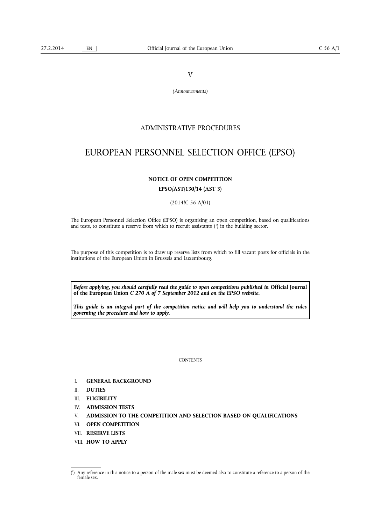V

*(Announcements)*

## ADMINISTRATIVE PROCEDURES

# <span id="page-2-0"></span>EUROPEAN PERSONNEL SELECTION OFFICE (EPSO)

#### **NOTICE OF OPEN COMPETITION**

**EPSO/AST/130/14 (AST 3)**

(2014/C 56 A/01)

The European Personnel Selection Office (EPSO) is organising an open competition, based on qualifications and tests, to constitute a reserve from which to recruit assistants ( 1 ) in the building sector.

The purpose of this competition is to draw up reserve lists from which to fill vacant posts for officials in the institutions of the European Union in Brussels and Luxembourg.

*Before applying, you should carefully read the guide to open competitions published in* **Official Journal of the European Union** *C 270 A of 7 September 2012 and on the EPSO website.*

*This guide is an integral part of the competition notice and will help you to understand the rules governing the procedure and how to apply.*

**CONTENTS** 

- I. **GENERAL BACKGROUND**
- II. **DUTIES**
- III. **ELIGIBILITY**
- IV. **ADMISSION TESTS**
- V. **ADMISSION TO THE COMPETITION AND SELECTION BASED ON QUALIFICATIONS**
- VI. **OPEN COMPETITION**
- VII. **RESERVE LISTS**
- VIII. **HOW TO APPLY**

 $($ <sup>1</sup> ) Any reference in this notice to a person of the male sex must be deemed also to constitute a reference to a person of the female sex.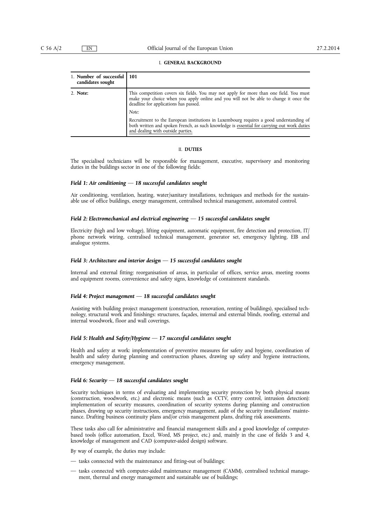#### I. **GENERAL BACKGROUND**

| 1. Number of successful  <br>candidates sought | 101                                                                                                                                                                                                                         |
|------------------------------------------------|-----------------------------------------------------------------------------------------------------------------------------------------------------------------------------------------------------------------------------|
| 2. Note:                                       | This competition covers six fields. You may not apply for more than one field. You must<br>make your choice when you apply online and you will not be able to change it once the<br>deadline for applications has passed.   |
|                                                | Note:                                                                                                                                                                                                                       |
|                                                | Recruitment to the European institutions in Luxembourg requires a good understanding of<br>both written and spoken French, as such knowledge is essential for carrying out work duties<br>and dealing with outside parties. |

#### II. **DUTIES**

The specialised technicians will be responsible for management, executive, supervisory and monitoring duties in the buildings sector in one of the following fields:

#### *Field 1: Air conditioning — 18 successful candidates sought*

Air conditioning, ventilation, heating, water/sanitary installations, techniques and methods for the sustainable use of office buildings, energy management, centralised technical management, automated control.

#### *Field 2: Electromechanical and electrical engineering — 15 successful candidates sought*

Electricity (high and low voltage), lifting equipment, automatic equipment, fire detection and protection, IT/ phone network wiring, centralised technical management, generator set, emergency lighting, EIB and analogue systems.

#### *Field 3: Architecture and interior design — 15 successful candidates sought*

Internal and external fitting: reorganisation of areas, in particular of offices, service areas, meeting rooms and equipment rooms, convenience and safety signs, knowledge of containment standards.

#### *Field 4: Project management — 18 successful candidates sought*

Assisting with building project management (construction, renovation, renting of buildings), specialised technology, structural work and finishings: structures, façades, internal and external blinds, roofing, external and internal woodwork, floor and wall coverings.

#### *Field 5: Health and Safety/Hygiene — 17 successful candidates sought*

Health and safety at work: implementation of preventive measures for safety and hygiene, coordination of health and safety during planning and construction phases, drawing up safety and hygiene instructions, emergency management.

#### *Field 6: Security — 18 successful candidates sought*

Security techniques in terms of evaluating and implementing security protection by both physical means (construction, woodwork, etc.) and electronic means (such as CCTV, entry control, intrusion detection): implementation of security measures, coordination of security systems during planning and construction phases, drawing up security instructions, emergency management, audit of the security installations' maintenance. Drafting business continuity plans and/or crisis management plans, drafting risk assessments.

These tasks also call for administrative and financial management skills and a good knowledge of computerbased tools (office automation, Excel, Word, MS project, etc.) and, mainly in the case of fields 3 and 4, knowledge of management and CAD (computer-aided design) software.

By way of example, the duties may include:

- tasks connected with the maintenance and fitting-out of buildings;
- tasks connected with computer-aided maintenance management (CAMM), centralised technical management, thermal and energy management and sustainable use of buildings;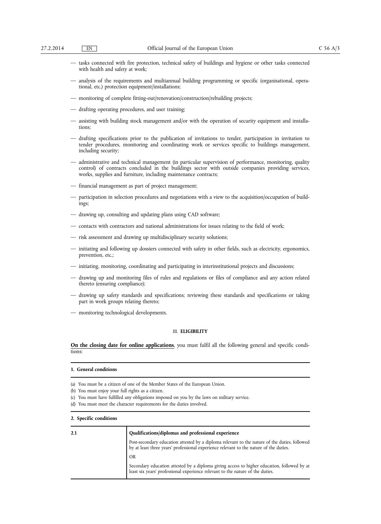- tasks connected with fire protection, technical safety of buildings and hygiene or other tasks connected with health and safety at work;
- analysis of the requirements and multiannual building programming or specific (organisational, operational, etc.) protection equipment/installations;
- monitoring of complete fitting-out/renovation/construction/rebuilding projects;
- drafting operating procedures, and user training;
- assisting with building stock management and/or with the operation of security equipment and installations;
- drafting specifications prior to the publication of invitations to tender, participation in invitation to tender procedures, monitoring and coordinating work or services specific to buildings management, including security;
- administrative and technical management (in particular supervision of performance, monitoring, quality control) of contracts concluded in the buildings sector with outside companies providing services, works, supplies and furniture, including maintenance contracts;
- financial management as part of project management;
- participation in selection procedures and negotiations with a view to the acquisition/occupation of buildings;
- drawing up, consulting and updating plans using CAD software;
- contacts with contractors and national administrations for issues relating to the field of work;
- risk assessment and drawing up multidisciplinary security solutions;
- initiating and following up dossiers connected with safety in other fields, such as electricity, ergonomics, prevention, etc.;
- initiating, monitoring, coordinating and participating in interinstitutional projects and discussions;
- drawing up and monitoring files of rules and regulations or files of compliance and any action related thereto (ensuring compliance);
- drawing up safety standards and specifications; reviewing these standards and specifications or taking part in work groups relating thereto;
- monitoring technological developments.

#### III. **ELIGIBILITY**

**On the closing date for online applications**, you must fulfil all the following general and specific conditions:

| 1. General conditions                                                        |
|------------------------------------------------------------------------------|
| (a) You must be a citizen of one of the Member States of the European Union. |
| (la) Vari murat antari riarro Cill otalità a a a attivam                     |

- (b) You must enjoy your full rights as a citizen.
- (c) You must have fulfilled any obligations imposed on you by the laws on military service.
- (d) You must meet the character requirements for the duties involved.

#### **2. Specific conditions**

| Qualifications/diplomas and professional experience<br>2.1 |                                                                                                                                                                                         |
|------------------------------------------------------------|-----------------------------------------------------------------------------------------------------------------------------------------------------------------------------------------|
|                                                            | Post-secondary education attested by a diploma relevant to the nature of the duties, followed<br>by at least three years' professional experience relevant to the nature of the duties. |
|                                                            | OR                                                                                                                                                                                      |
|                                                            | Secondary education attested by a diploma giving access to higher education, followed by at<br>least six years' professional experience relevant to the nature of the duties.           |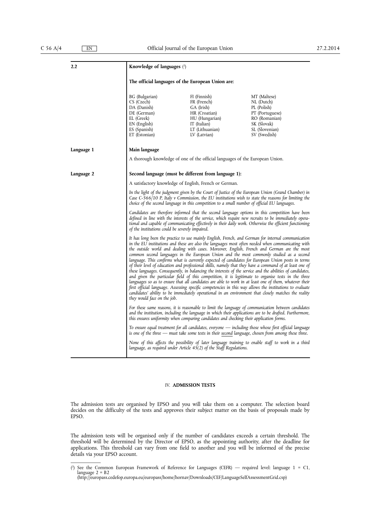| 2.2                         | Knowledge of languages (2)                                                                                                                                                                                                                                                                                  |                                                                                                                                                                                                                                                                                                                                                                                                                                                                                                                                                                                                                                                                                                                                                                                                                                                                                                                                                                                                                                                                                                                                                                      |                                                                                                                                |  |  |
|-----------------------------|-------------------------------------------------------------------------------------------------------------------------------------------------------------------------------------------------------------------------------------------------------------------------------------------------------------|----------------------------------------------------------------------------------------------------------------------------------------------------------------------------------------------------------------------------------------------------------------------------------------------------------------------------------------------------------------------------------------------------------------------------------------------------------------------------------------------------------------------------------------------------------------------------------------------------------------------------------------------------------------------------------------------------------------------------------------------------------------------------------------------------------------------------------------------------------------------------------------------------------------------------------------------------------------------------------------------------------------------------------------------------------------------------------------------------------------------------------------------------------------------|--------------------------------------------------------------------------------------------------------------------------------|--|--|
|                             |                                                                                                                                                                                                                                                                                                             | The official languages of the European Union are:                                                                                                                                                                                                                                                                                                                                                                                                                                                                                                                                                                                                                                                                                                                                                                                                                                                                                                                                                                                                                                                                                                                    |                                                                                                                                |  |  |
|                             | BG (Bulgarian)<br>CS (Czech)<br>DA (Danish)<br>DE (German)<br>EL (Greek)<br>EN (English)<br>ES (Spanish)<br>ET (Estonian)                                                                                                                                                                                   | FI (Finnish)<br>FR (French)<br>GA (Irish)<br>HR (Croatian)<br>HU (Hungarian)<br>IT (Italian)<br>LT (Lithuanian)<br>LV (Latvian)                                                                                                                                                                                                                                                                                                                                                                                                                                                                                                                                                                                                                                                                                                                                                                                                                                                                                                                                                                                                                                      | MT (Maltese)<br>NL (Dutch)<br>PL (Polish)<br>PT (Portuguese)<br>RO (Romanian)<br>SK (Slovak)<br>SL (Slovenian)<br>SV (Swedish) |  |  |
| Language 1                  | Main language                                                                                                                                                                                                                                                                                               |                                                                                                                                                                                                                                                                                                                                                                                                                                                                                                                                                                                                                                                                                                                                                                                                                                                                                                                                                                                                                                                                                                                                                                      |                                                                                                                                |  |  |
|                             |                                                                                                                                                                                                                                                                                                             | A thorough knowledge of one of the official languages of the European Union.                                                                                                                                                                                                                                                                                                                                                                                                                                                                                                                                                                                                                                                                                                                                                                                                                                                                                                                                                                                                                                                                                         |                                                                                                                                |  |  |
| Language 2                  |                                                                                                                                                                                                                                                                                                             | Second language (must be different from language 1):                                                                                                                                                                                                                                                                                                                                                                                                                                                                                                                                                                                                                                                                                                                                                                                                                                                                                                                                                                                                                                                                                                                 |                                                                                                                                |  |  |
|                             | A satisfactory knowledge of English, French or German.                                                                                                                                                                                                                                                      |                                                                                                                                                                                                                                                                                                                                                                                                                                                                                                                                                                                                                                                                                                                                                                                                                                                                                                                                                                                                                                                                                                                                                                      |                                                                                                                                |  |  |
|                             | In the light of the judgment given by the Court of Justice of the European Union (Grand Chamber) in<br>Case C-566/10 P, Italy v Commission, the EU institutions wish to state the reasons for limiting the<br>choice of the second language in this competition to a small number of official EU languages. |                                                                                                                                                                                                                                                                                                                                                                                                                                                                                                                                                                                                                                                                                                                                                                                                                                                                                                                                                                                                                                                                                                                                                                      |                                                                                                                                |  |  |
|                             |                                                                                                                                                                                                                                                                                                             | Candidates are therefore informed that the second language options in this competition have been<br>defined in line with the interests of the service, which require new recruits to be immediately opera-<br>tional and capable of communicating effectively in their daily work. Otherwise the efficient functioning<br>of the institutions could be severely impaired.                                                                                                                                                                                                                                                                                                                                                                                                                                                                                                                                                                                                                                                                                                                                                                                            |                                                                                                                                |  |  |
| they would face on the job. |                                                                                                                                                                                                                                                                                                             | It has long been the practice to use mainly English, French, and German for internal communication<br>in the EU institutions and these are also the languages most often needed when communicating with<br>the outside world and dealing with cases. Moreover, English, French and German are the most<br>common second languages in the European Union and the most commonly studied as a second<br>language. This confirms what is currently expected of candidates for European Union posts in terms<br>of their level of education and professional skills, namely that they have a command of at least one of<br>these languages. Consequently, in balancing the interests of the service and the abilities of candidates,<br>and given the particular field of this competition, it is legitimate to organise tests in the three<br>languages so as to ensure that all candidates are able to work in at least one of them, whatever their<br>first official language. Assessing specific competencies in this way allows the institutions to evaluate<br>candidates' ability to be immediately operational in an environment that closely matches the reality |                                                                                                                                |  |  |
|                             | For these same reasons, it is reasonable to limit the language of communication between candidates<br>and the institution, including the language in which their applications are to be drafted. Furthermore,<br>this ensures uniformity when comparing candidates and checking their application forms.    |                                                                                                                                                                                                                                                                                                                                                                                                                                                                                                                                                                                                                                                                                                                                                                                                                                                                                                                                                                                                                                                                                                                                                                      |                                                                                                                                |  |  |
|                             | To ensure equal treatment for all candidates, everyone — including those whose first official language<br>is one of the three — must take some tests in their second language, chosen from among these three.                                                                                               |                                                                                                                                                                                                                                                                                                                                                                                                                                                                                                                                                                                                                                                                                                                                                                                                                                                                                                                                                                                                                                                                                                                                                                      |                                                                                                                                |  |  |
|                             | None of this affects the possibility of later language training to enable staff to work in a third<br>language, as required under Article 45(2) of the Staff Regulations.                                                                                                                                   |                                                                                                                                                                                                                                                                                                                                                                                                                                                                                                                                                                                                                                                                                                                                                                                                                                                                                                                                                                                                                                                                                                                                                                      |                                                                                                                                |  |  |

#### IV. **ADMISSION TESTS**

The admission tests are organised by EPSO and you will take them on a computer. The selection board decides on the difficulty of the tests and approves their subject matter on the basis of proposals made by EPSO.

The admission tests will be organised only if the number of candidates exceeds a certain threshold. The threshold will be determined by the Director of EPSO, as the appointing authority, after the deadline for applications. This threshold can vary from one field to another and you will be informed of the precise details via your EPSO account.

<sup>(</sup> 2 ) See the Common European Framework of Reference for Languages (CEFR) — required level: language 1 = C1, language 2 = B2 [\(http://europass.cedefop.europa.eu/europass/home/hornav/Downloads/CEF/LanguageSelfAssessmentGrid.csp\)](http://europass.cedefop.europa.eu/europass/home/hornav/Downloads/CEF/LanguageSelfAssessmentGrid.csp)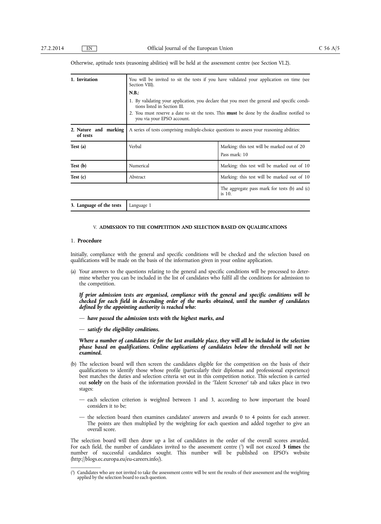| 1. Invitation                                                                                                                   | You will be invited to sit the tests if you have validated your application on time (see<br>Section VIII).                   |                                                              |  |
|---------------------------------------------------------------------------------------------------------------------------------|------------------------------------------------------------------------------------------------------------------------------|--------------------------------------------------------------|--|
|                                                                                                                                 | N.B.:                                                                                                                        |                                                              |  |
|                                                                                                                                 | 1. By validating your application, you declare that you meet the general and specific condi-<br>tions listed in Section III. |                                                              |  |
| 2. You must reserve a date to sit the tests. This <b>must</b> be done by the deadline notified to<br>you via your EPSO account. |                                                                                                                              |                                                              |  |
| 2. Nature and marking<br>of tests                                                                                               | A series of tests comprising multiple-choice questions to assess your reasoning abilities:                                   |                                                              |  |
| Test (a)                                                                                                                        | Verbal                                                                                                                       | Marking: this test will be marked out of 20<br>Pass mark: 10 |  |
| Test (b)                                                                                                                        | Numerical                                                                                                                    | Marking: this test will be marked out of 10                  |  |
| Test $(c)$                                                                                                                      | Abstract                                                                                                                     | Marking: this test will be marked out of 10                  |  |
|                                                                                                                                 |                                                                                                                              | The aggregate pass mark for tests (b) and (c)<br>is 10.      |  |
| 3. Language of the tests                                                                                                        | Language 1                                                                                                                   |                                                              |  |

Otherwise, aptitude tests (reasoning abilities) will be held at the assessment centre (see Section VI.2).

#### V. **ADMISSION TO THE COMPETITION AND SELECTION BASED ON QUALIFICATIONS**

#### 1. **Procedure**

Initially, compliance with the general and specific conditions will be checked and the selection based on qualifications will be made on the basis of the information given in your online application.

(a) Your answers to the questions relating to the general and specific conditions will be processed to determine whether you can be included in the list of candidates who fulfil all the conditions for admission to the competition.

*If prior admission tests are organised, compliance with the general and specific conditions will be checked for each field in descending order of the marks obtained, until the number of candidates defined by the appointing authority is reached who:*

- *have passed the admission tests with the highest marks, and*
- *satisfy the eligibility conditions.*

Where a number of candidates tie for the last available place, they will all be included in the selection *phase based on qualifications. Online applications of candidates below the threshold will not be examined.*

- (b) The selection board will then screen the candidates eligible for the competition on the basis of their qualifications to identify those whose profile (particularly their diplomas and professional experience) best matches the duties and selection criteria set out in this competition notice. This selection is carried out **solely** on the basis of the information provided in the 'Talent Screener' tab and takes place in two stages:
	- each selection criterion is weighted between 1 and 3, according to how important the board considers it to be;
	- the selection board then examines candidates' answers and awards 0 to 4 points for each answer. The points are then multiplied by the weighting for each question and added together to give an overall score.

The selection board will then draw up a list of candidates in the order of the overall scores awarded. For each field, the number of candidates invited to the assessment centre ( 3 ) will not exceed **3 times** the number of successful candidates sought. This number will be published on EPSO's website [\(http://blogs.ec.europa.eu/eu-careers.info/\).](http://blogs.ec.europa.eu/eu-careers.info/)

<sup>(</sup> 3 ) Candidates who are not invited to take the assessment centre will be sent the results of their assessment and the weighting applied by the selection board to each question.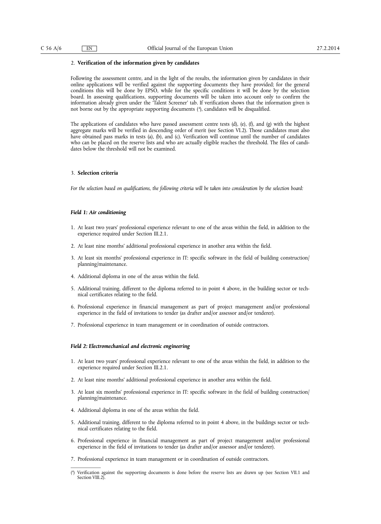#### 2. **Verification of the information given by candidates**

Following the assessment centre, and in the light of the results, the information given by candidates in their online applications will be verified against the supporting documents they have provided; for the general conditions this will be done by EPSO, while for the specific conditions it will be done by the selection board. In assessing qualifications, supporting documents will be taken into account only to confirm the information already given under the 'Talent Screener' tab. If verification shows that the information given is not borne out by the appropriate supporting documents ( 4 ), candidates will be disqualified.

The applications of candidates who have passed assessment centre tests (d), (e), (f), and (g) with the highest aggregate marks will be verified in descending order of merit (see Section VI.2). Those candidates must also have obtained pass marks in tests (a), (b), and (c). Verification will continue until the number of candidates who can be placed on the reserve lists and who are actually eligible reaches the threshold. The files of candidates below the threshold will not be examined.

#### 3. **Selection criteria**

For the selection based on qualifications, the following criteria will be taken into consideration by the selection board:

#### *Field 1: Air conditioning*

- 1. At least two years' professional experience relevant to one of the areas within the field, in addition to the experience required under Section III.2.1.
- 2. At least nine months' additional professional experience in another area within the field.
- 3. At least six months' professional experience in IT: specific software in the field of building construction/ planning/maintenance.
- 4. Additional diploma in one of the areas within the field.
- 5. Additional training, different to the diploma referred to in point 4 above, in the building sector or technical certificates relating to the field.
- 6. Professional experience in financial management as part of project management and/or professional experience in the field of invitations to tender (as drafter and/or assessor and/or tenderer).
- 7. Professional experience in team management or in coordination of outside contractors.

#### *Field 2: Electromechanical and electronic engineering*

- 1. At least two years' professional experience relevant to one of the areas within the field, in addition to the experience required under Section III.2.1.
- 2. At least nine months' additional professional experience in another area within the field.
- 3. At least six months' professional experience in IT: specific software in the field of building construction/ planning/maintenance.
- 4. Additional diploma in one of the areas within the field.
- 5. Additional training, different to the diploma referred to in point 4 above, in the buildings sector or technical certificates relating to the field.
- 6. Professional experience in financial management as part of project management and/or professional experience in the field of invitations to tender (as drafter and/or assessor and/or tenderer).
- 7. Professional experience in team management or in coordination of outside contractors.

 $($ <sup>4</sup> ) Verification against the supporting documents is done before the reserve lists are drawn up (see Section VII.1 and Section VIII.2).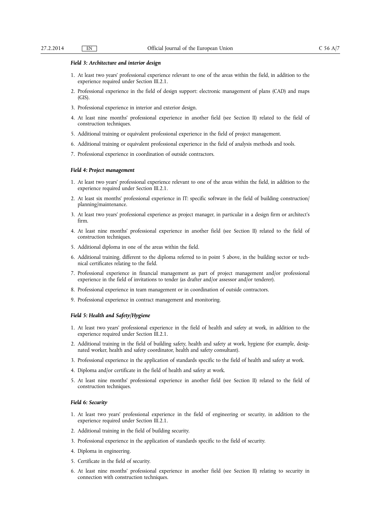#### *Field 3: Architecture and interior design*

- 1. At least two years' professional experience relevant to one of the areas within the field, in addition to the experience required under Section III.2.1.
- 2. Professional experience in the field of design support: electronic management of plans (CAD) and maps (GIS).
- 3. Professional experience in interior and exterior design.
- 4. At least nine months' professional experience in another field (see Section II) related to the field of construction techniques.
- 5. Additional training or equivalent professional experience in the field of project management.
- 6. Additional training or equivalent professional experience in the field of analysis methods and tools.
- 7. Professional experience in coordination of outside contractors.

#### *Field 4: Project management*

- 1. At least two years' professional experience relevant to one of the areas within the field, in addition to the experience required under Section III.2.1.
- 2. At least six months' professional experience in IT: specific software in the field of building construction/ planning/maintenance.
- 3. At least two years' professional experience as project manager, in particular in a design firm or architect's firm.
- 4. At least nine months' professional experience in another field (see Section II) related to the field of construction techniques.
- 5. Additional diploma in one of the areas within the field.
- 6. Additional training, different to the diploma referred to in point 5 above, in the building sector or technical certificates relating to the field.
- 7. Professional experience in financial management as part of project management and/or professional experience in the field of invitations to tender (as drafter and/or assessor and/or tenderer).
- 8. Professional experience in team management or in coordination of outside contractors.
- 9. Professional experience in contract management and monitoring.

#### *Field 5: Health and Safety/Hygiene*

- 1. At least two years' professional experience in the field of health and safety at work, in addition to the experience required under Section III.2.1.
- 2. Additional training in the field of building safety, health and safety at work, hygiene (for example, designated worker, health and safety coordinator, health and safety consultant).
- 3. Professional experience in the application of standards specific to the field of health and safety at work.
- 4. Diploma and/or certificate in the field of health and safety at work.
- 5. At least nine months' professional experience in another field (see Section II) related to the field of construction techniques.

#### *Field 6: Security*

- 1. At least two years' professional experience in the field of engineering or security, in addition to the experience required under Section III.2.1.
- 2. Additional training in the field of building security.
- 3. Professional experience in the application of standards specific to the field of security.
- 4. Diploma in engineering.
- 5. Certificate in the field of security.
- 6. At least nine months' professional experience in another field (see Section II) relating to security in connection with construction techniques.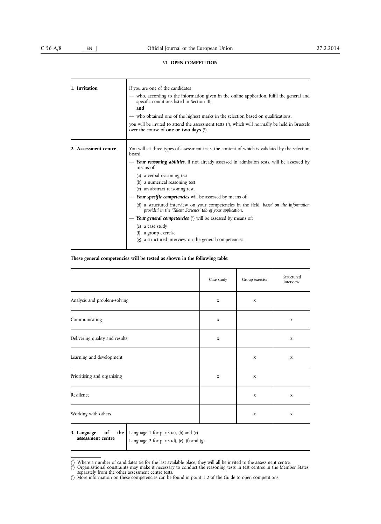#### VI. **OPEN COMPETITION**

| 1. Invitation        | If you are one of the candidates<br>- who, according to the information given in the online application, fulfil the general and<br>specific conditions listed in Section III,<br>and<br>— who obtained one of the highest marks in the selection based on qualifications,<br>you will be invited to attend the assessment tests $(5)$ , which will normally be held in Brussels<br>over the course of <b>one or two days</b> $(6)$ .                                                                                                                                                                                                                                                                               |
|----------------------|--------------------------------------------------------------------------------------------------------------------------------------------------------------------------------------------------------------------------------------------------------------------------------------------------------------------------------------------------------------------------------------------------------------------------------------------------------------------------------------------------------------------------------------------------------------------------------------------------------------------------------------------------------------------------------------------------------------------|
| 2. Assessment centre | You will sit three types of assessment tests, the content of which is validated by the selection<br>board.<br>- Your reasoning abilities, if not already assessed in admission tests, will be assessed by<br>means of:<br>(a) a verbal reasoning test<br>(b) a numerical reasoning test<br>(c) an abstract reasoning test.<br>Your specific competencies will be assessed by means of:<br>(d) a structured interview on your competencies in the field, based on the information<br>provided in the 'Talent Screener' tab of your application.<br>Your general competencies $(7)$ will be assessed by means of:<br>(e) a case study<br>a group exercise<br>(g) a structured interview on the general competencies. |

#### **These general competencies will be tested as shown in the following table:**

|                                                                       | Case study  | Group exercise | Structured<br>interview |
|-----------------------------------------------------------------------|-------------|----------------|-------------------------|
| Analysis and problem-solving                                          | $\mathbf X$ | $\mathbf x$    |                         |
| Communicating                                                         | $\mathbf X$ |                | $\mathbf X$             |
| Delivering quality and results                                        | $\mathbf x$ |                | $\mathbf x$             |
| Learning and development                                              |             | $\mathbf x$    | $\mathbf X$             |
| Prioritising and organising                                           | $\mathbf X$ | $\mathbf x$    |                         |
| Resilience                                                            |             | $\mathbf X$    | $\mathbf X$             |
| Working with others                                                   |             | $\mathbf x$    | $\mathbf X$             |
| of<br><b>the</b> Language 1 for parts (a), (b) and (c)<br>3. Language |             |                |                         |

**assessment centre**

Language 2 for parts (d), (e), (f) and (g)

<sup>(</sup> 5 ) Where a number of candidates tie for the last available place, they will all be invited to the assessment centre.

<sup>(</sup> 6 ) Organisational constraints may make it necessary to conduct the reasoning tests in test centres in the Member States, separately from the other assessment centre tests.

<sup>(</sup> 7 ) More information on these competencies can be found in point 1.2 of the Guide to open competitions.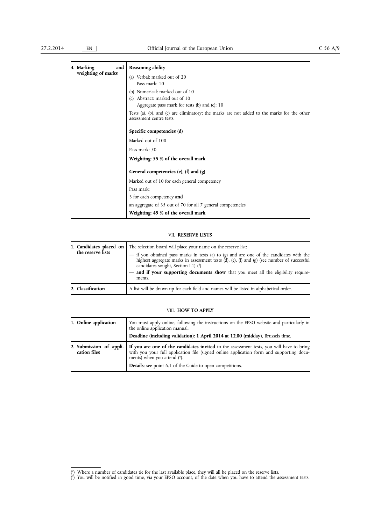| 4. Marking<br>and  | <b>Reasoning ability</b>                                                                                                |
|--------------------|-------------------------------------------------------------------------------------------------------------------------|
| weighting of marks | (a) Verbal: marked out of 20                                                                                            |
|                    | Pass mark: 10                                                                                                           |
|                    | (b) Numerical: marked out of 10                                                                                         |
|                    | Abstract: marked out of 10<br>(c)                                                                                       |
|                    | Aggregate pass mark for tests (b) and (c): 10                                                                           |
|                    | Tests (a), (b), and (c) are eliminatory; the marks are not added to the marks for the other<br>assessment centre tests. |
|                    | Specific competencies (d)                                                                                               |
|                    | Marked out of 100                                                                                                       |
|                    | Pass mark: 50                                                                                                           |
|                    | Weighting: 55 % of the overall mark                                                                                     |
|                    | General competencies (e), $(f)$ and $(g)$                                                                               |
|                    | Marked out of 10 for each general competency                                                                            |
|                    | Pass mark:                                                                                                              |
|                    | 3 for each competency and                                                                                               |
|                    | an aggregate of 35 out of 70 for all 7 general competencies                                                             |
|                    | Weighting: 45 % of the overall mark                                                                                     |

#### VII. **RESERVE LISTS**

| 1. Candidates placed on<br>the reserve lists | The selection board will place your name on the reserve list:<br>- if you obtained pass marks in tests (a) to (g) and are one of the candidates with the<br>highest aggregate marks in assessment tests (d), (e), (f) and (g) (see number of successful<br>candidates sought, Section I.1) (8)<br>and if your supporting documents show that you meet all the eligibility require-<br>ments. |
|----------------------------------------------|----------------------------------------------------------------------------------------------------------------------------------------------------------------------------------------------------------------------------------------------------------------------------------------------------------------------------------------------------------------------------------------------|
| 2. Classification                            | A list will be drawn up for each field and names will be listed in alphabetical order.                                                                                                                                                                                                                                                                                                       |

#### VIII. **HOW TO APPLY**

| 1. Online application | You must apply online, following the instructions on the EPSO website and particularly in<br>the online application manual.<br>Deadline (including validation): 1 April 2014 at 12.00 (midday), Brussels time.                                                                                                     |
|-----------------------|--------------------------------------------------------------------------------------------------------------------------------------------------------------------------------------------------------------------------------------------------------------------------------------------------------------------|
| cation files          | 2. Submission of appli- If you are one of the candidates invited to the assessment tests, you will have to bring<br>with you your full application file (signed online application form and supporting docu-<br>ments) when you attend $(9)$ .<br><b>Details:</b> see point 6.1 of the Guide to open competitions. |

<sup>(</sup> 8 ) Where a number of candidates tie for the last available place, they will all be placed on the reserve lists.

<sup>(</sup> 9 ) You will be notified in good time, via your EPSO account, of the date when you have to attend the assessment tests.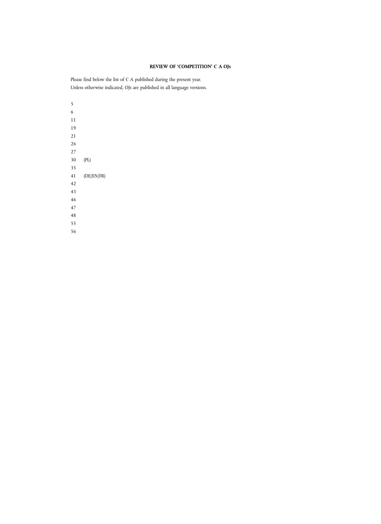### **REVIEW OF 'COMPETITION' C A OJs**

Please find below the list of C A published during the present year. Unless otherwise indicated, OJs are published in all language versions.